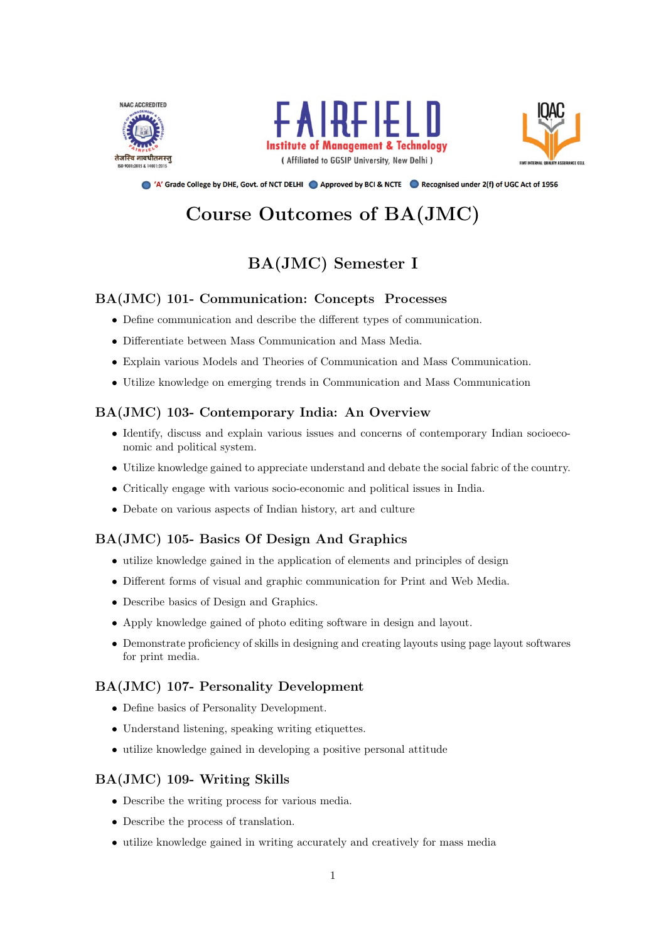





● 'A' Grade College by DHE, Govt. of NCT DELHI ● Approved by BCI & NCTE ● Recognised under 2(f) of UGC Act of 1956

# Course Outcomes of BA(JMC)

# BA(JMC) Semester I

### BA(JMC) 101- Communication: Concepts Processes

- Define communication and describe the different types of communication.
- Differentiate between Mass Communication and Mass Media.
- Explain various Models and Theories of Communication and Mass Communication.
- Utilize knowledge on emerging trends in Communication and Mass Communication

### BA(JMC) 103- Contemporary India: An Overview

- Identify, discuss and explain various issues and concerns of contemporary Indian socioeconomic and political system.
- Utilize knowledge gained to appreciate understand and debate the social fabric of the country.
- Critically engage with various socio-economic and political issues in India.
- Debate on various aspects of Indian history, art and culture

### BA(JMC) 105- Basics Of Design And Graphics

- utilize knowledge gained in the application of elements and principles of design
- Different forms of visual and graphic communication for Print and Web Media.
- Describe basics of Design and Graphics.
- Apply knowledge gained of photo editing software in design and layout.
- Demonstrate proficiency of skills in designing and creating layouts using page layout softwares for print media.

### BA(JMC) 107- Personality Development

- Define basics of Personality Development.
- Understand listening, speaking writing etiquettes.
- utilize knowledge gained in developing a positive personal attitude

### BA(JMC) 109- Writing Skills

- Describe the writing process for various media.
- Describe the process of translation.
- utilize knowledge gained in writing accurately and creatively for mass media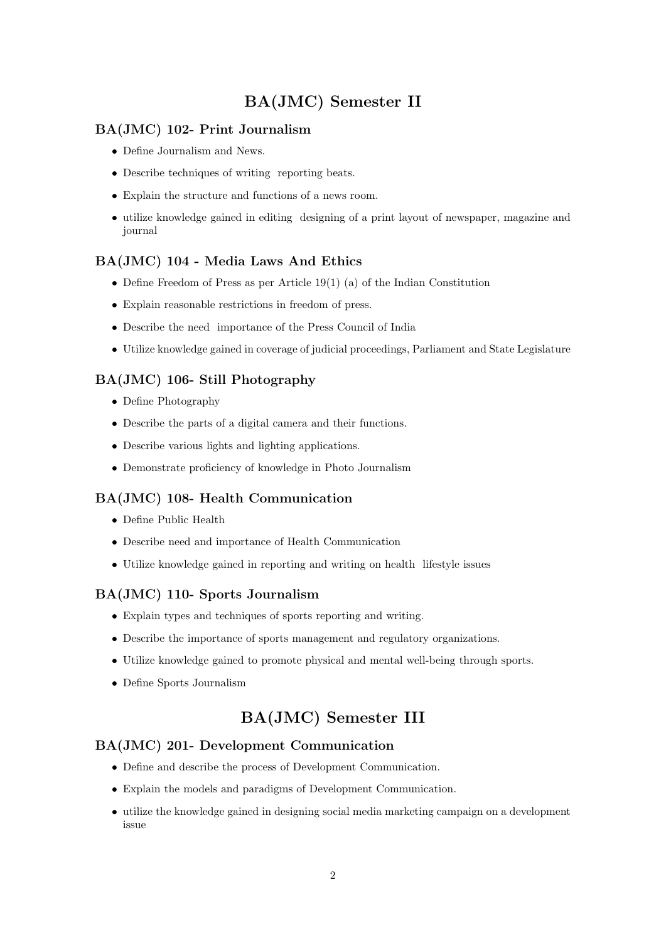# BA(JMC) Semester II

### BA(JMC) 102- Print Journalism

- Define Journalism and News.
- Describe techniques of writing reporting beats.
- Explain the structure and functions of a news room.
- utilize knowledge gained in editing designing of a print layout of newspaper, magazine and journal

### BA(JMC) 104 - Media Laws And Ethics

- Define Freedom of Press as per Article 19(1) (a) of the Indian Constitution
- Explain reasonable restrictions in freedom of press.
- Describe the need importance of the Press Council of India
- Utilize knowledge gained in coverage of judicial proceedings, Parliament and State Legislature

### BA(JMC) 106- Still Photography

- Define Photography
- Describe the parts of a digital camera and their functions.
- Describe various lights and lighting applications.
- Demonstrate proficiency of knowledge in Photo Journalism

### BA(JMC) 108- Health Communication

- Define Public Health
- Describe need and importance of Health Communication
- Utilize knowledge gained in reporting and writing on health lifestyle issues

### BA(JMC) 110- Sports Journalism

- Explain types and techniques of sports reporting and writing.
- Describe the importance of sports management and regulatory organizations.
- Utilize knowledge gained to promote physical and mental well-being through sports.
- Define Sports Journalism

### BA(JMC) Semester III

#### BA(JMC) 201- Development Communication

- Define and describe the process of Development Communication.
- Explain the models and paradigms of Development Communication.
- utilize the knowledge gained in designing social media marketing campaign on a development issue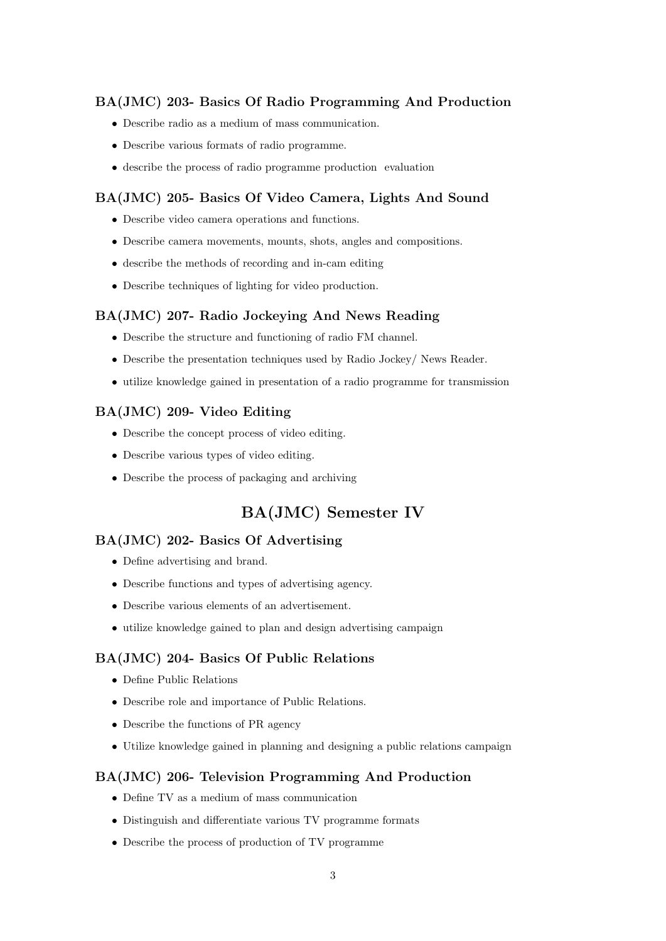### BA(JMC) 203- Basics Of Radio Programming And Production

- Describe radio as a medium of mass communication.
- Describe various formats of radio programme.
- describe the process of radio programme production evaluation

### BA(JMC) 205- Basics Of Video Camera, Lights And Sound

- Describe video camera operations and functions.
- Describe camera movements, mounts, shots, angles and compositions.
- describe the methods of recording and in-cam editing
- Describe techniques of lighting for video production.

#### BA(JMC) 207- Radio Jockeying And News Reading

- Describe the structure and functioning of radio FM channel.
- Describe the presentation techniques used by Radio Jockey/ News Reader.
- utilize knowledge gained in presentation of a radio programme for transmission

### BA(JMC) 209- Video Editing

- Describe the concept process of video editing.
- Describe various types of video editing.
- Describe the process of packaging and archiving

### BA(JMC) Semester IV

### BA(JMC) 202- Basics Of Advertising

- Define advertising and brand.
- Describe functions and types of advertising agency.
- Describe various elements of an advertisement.
- utilize knowledge gained to plan and design advertising campaign

#### BA(JMC) 204- Basics Of Public Relations

- Define Public Relations
- Describe role and importance of Public Relations.
- Describe the functions of PR agency
- Utilize knowledge gained in planning and designing a public relations campaign

#### BA(JMC) 206- Television Programming And Production

- Define TV as a medium of mass communication
- Distinguish and differentiate various TV programme formats
- Describe the process of production of TV programme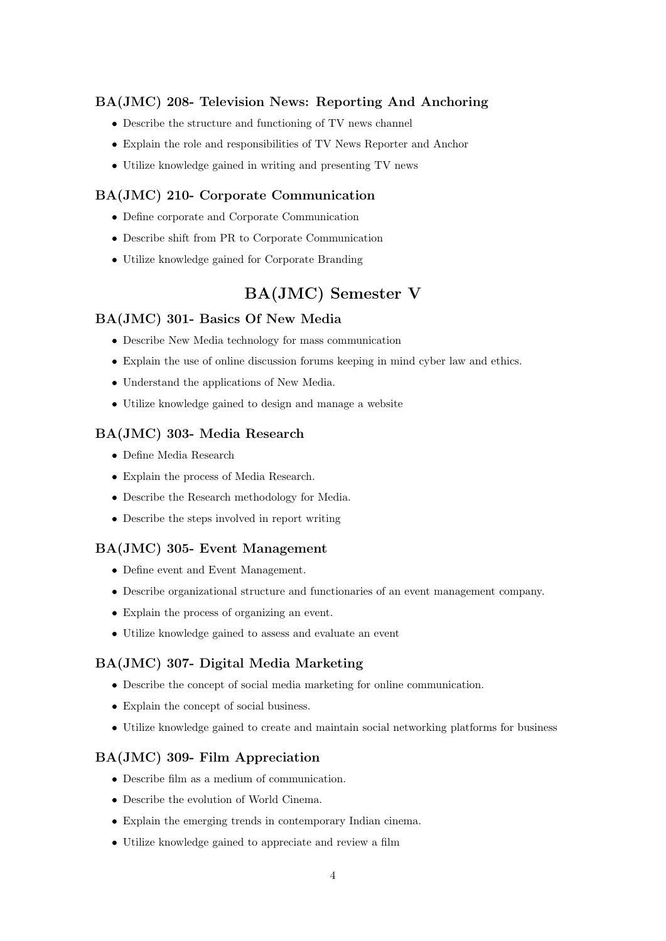### BA(JMC) 208- Television News: Reporting And Anchoring

- Describe the structure and functioning of TV news channel
- Explain the role and responsibilities of TV News Reporter and Anchor
- Utilize knowledge gained in writing and presenting TV news

### BA(JMC) 210- Corporate Communication

- Define corporate and Corporate Communication
- Describe shift from PR to Corporate Communication
- Utilize knowledge gained for Corporate Branding

## BA(JMC) Semester V

#### BA(JMC) 301- Basics Of New Media

- Describe New Media technology for mass communication
- Explain the use of online discussion forums keeping in mind cyber law and ethics.
- Understand the applications of New Media.
- Utilize knowledge gained to design and manage a website

### BA(JMC) 303- Media Research

- Define Media Research
- Explain the process of Media Research.
- Describe the Research methodology for Media.
- Describe the steps involved in report writing

#### BA(JMC) 305- Event Management

- Define event and Event Management.
- Describe organizational structure and functionaries of an event management company.
- Explain the process of organizing an event.
- Utilize knowledge gained to assess and evaluate an event

#### BA(JMC) 307- Digital Media Marketing

- Describe the concept of social media marketing for online communication.
- Explain the concept of social business.
- Utilize knowledge gained to create and maintain social networking platforms for business

#### BA(JMC) 309- Film Appreciation

- Describe film as a medium of communication.
- Describe the evolution of World Cinema.
- Explain the emerging trends in contemporary Indian cinema.
- Utilize knowledge gained to appreciate and review a film